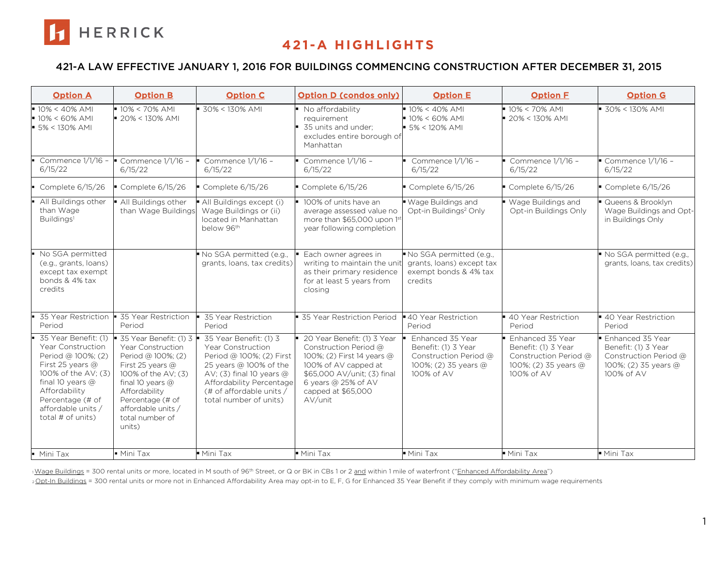

### 421-A LAW EFFECTIVE JANUARY 1, 2016 FOR BUILDINGS COMMENCING CONSTRUCTION AFTER DECEMBER 31, 2015

| <b>Option A</b>                                                                                                                                                                                                    | <b>Option B</b>                                                                                                                                                                                                                              | <b>Option C</b>                                                                                                                                                                                                   | <b>Option D (condos only)</b>                                                                                                                                                                     | <b>Option E</b>                                                                                        | <b>Option F</b>                                                                                        | <b>Option G</b>                                                                                        |
|--------------------------------------------------------------------------------------------------------------------------------------------------------------------------------------------------------------------|----------------------------------------------------------------------------------------------------------------------------------------------------------------------------------------------------------------------------------------------|-------------------------------------------------------------------------------------------------------------------------------------------------------------------------------------------------------------------|---------------------------------------------------------------------------------------------------------------------------------------------------------------------------------------------------|--------------------------------------------------------------------------------------------------------|--------------------------------------------------------------------------------------------------------|--------------------------------------------------------------------------------------------------------|
| $10\% < 40\%$ AMI<br>$10\% < 60\%$ AMI<br>$\bullet$ 5% < 130% AMI                                                                                                                                                  | $10\% < 70\%$ AMI<br>$20\% < 130\%$ AMI                                                                                                                                                                                                      | $30\% < 130\%$ AMI                                                                                                                                                                                                | No affordability<br>requirement<br>■ 35 units and under:<br>excludes entire borough of<br>Manhattan                                                                                               | $10\% < 40\%$ AMI<br>$10\% < 60\%$ AMI<br>$\blacktriangleright$ 5% < 120% AMI                          | ■ 10% < 70% AMI<br>$-20\% < 130\%$ AMI                                                                 | $-30\% < 130\%$ AMI                                                                                    |
| 6/15/22                                                                                                                                                                                                            | Commence 1/1/16 - Commence 1/1/16 -<br>6/15/22                                                                                                                                                                                               | Commence 1/1/16 -<br>6/15/22                                                                                                                                                                                      | Commence 1/1/16 -<br>6/15/22                                                                                                                                                                      | Commence $1/1/16$ -<br>6/15/22                                                                         | $\bullet$ Commence 1/1/16 -<br>6/15/22                                                                 | Commence $1/1/16$ -<br>6/15/22                                                                         |
| Complete $6/15/26$                                                                                                                                                                                                 | Complete 6/15/26                                                                                                                                                                                                                             | $\blacksquare$ Complete 6/15/26                                                                                                                                                                                   | Complete 6/15/26                                                                                                                                                                                  | $\blacksquare$ Complete 6/15/26                                                                        | $\blacksquare$ Complete 6/15/26                                                                        | $\blacksquare$ Complete 6/15/26                                                                        |
| All Buildings other<br>than Wage<br>Buildings <sup>1</sup>                                                                                                                                                         | All Buildings other<br>than Wage Buildings                                                                                                                                                                                                   | All Buildings except (i)<br>Wage Buildings or (ii)<br>located in Manhattan<br>below 96th                                                                                                                          | 100% of units have an<br>average assessed value no<br>more than \$65,000 upon 1st<br>year following completion                                                                                    | ■ Wage Buildings and<br>Opt-in Buildings <sup>2</sup> Only                                             | ■ Wage Buildings and<br>Opt-in Buildings Only                                                          | Queens & Brooklyn<br>Wage Buildings and Opt-<br>in Buildings Only                                      |
| No SGA permitted<br>(e.g., grants, loans)<br>except tax exempt<br>bonds & 4% tax<br>credits                                                                                                                        |                                                                                                                                                                                                                                              | No SGA permitted (e.g.,<br>grants, loans, tax credits)                                                                                                                                                            | Each owner agrees in<br>writing to maintain the unit<br>as their primary residence<br>for at least 5 years from<br>closing                                                                        | No SGA permitted (e.g.,<br>grants, loans) except tax<br>exempt bonds & 4% tax<br>credits               |                                                                                                        | No SGA permitted (e.g.,<br>grants, loans, tax credits)                                                 |
| 35 Year Restriction<br>Period                                                                                                                                                                                      | ■ 35 Year Restriction<br>Period                                                                                                                                                                                                              | 35 Year Restriction<br>Period                                                                                                                                                                                     | 35 Year Restriction Period                                                                                                                                                                        | ■ 40 Year Restriction<br>Period                                                                        | ■ 40 Year Restriction<br>Period                                                                        | ■ 40 Year Restriction<br>Period                                                                        |
| 35 Year Benefit: (1)<br>Year Construction<br>Period @ 100%; (2)<br>First 25 years $@$<br>100% of the AV: (3)<br>final 10 years $@$<br>Affordability<br>Percentage (# of<br>affordable units /<br>total # of units) | $\bullet$ 35 Year Benefit: (1) 3 $\bullet$<br>Year Construction<br>Period @ 100%; (2)<br>First 25 years @<br>100% of the AV: (3)<br>final 10 years @<br>Affordability<br>Percentage (# of<br>affordable units /<br>total number of<br>units) | 35 Year Benefit: (1) 3<br>Year Construction<br>Period @ 100%; (2) First<br>25 years @ 100% of the<br>AV; (3) final 10 years $@$<br>Affordability Percentage<br>(# of affordable units /<br>total number of units) | 20 Year Benefit: (1) 3 Year<br>Construction Period @<br>100%; (2) First 14 years @<br>100% of AV capped at<br>\$65,000 AV/unit; (3) final<br>6 years @ 25% of AV<br>capped at \$65,000<br>AV/unit | Enhanced 35 Year<br>Benefit: (1) 3 Year<br>Construction Period @<br>100%; (2) 35 years @<br>100% of AV | Enhanced 35 Year<br>Benefit: (1) 3 Year<br>Construction Period @<br>100%; (2) 35 years @<br>100% of AV | Enhanced 35 Year<br>Benefit: (1) 3 Year<br>Construction Period @<br>100%; (2) 35 years @<br>100% of AV |
| • Mini Tax                                                                                                                                                                                                         | $\overline{\blacksquare}$ Mini Tax                                                                                                                                                                                                           | $\blacksquare$ Mini Tax                                                                                                                                                                                           | Mini Tax                                                                                                                                                                                          | Mini Tax                                                                                               | Mini Tax                                                                                               | Mini Tax                                                                                               |

1Wage Buildings = 300 rental units or more, located in M south of 96<sup>th</sup> Street, or Q or BK in CBs 1 or 2 and within 1 mile of waterfront ("Enhanced Affordability Area")

2 Opt-In Buildings = 300 rental units or more not in Enhanced Affordability Area may opt-in to E, F, G for Enhanced 35 Year Benefit if they comply with minimum wage requirements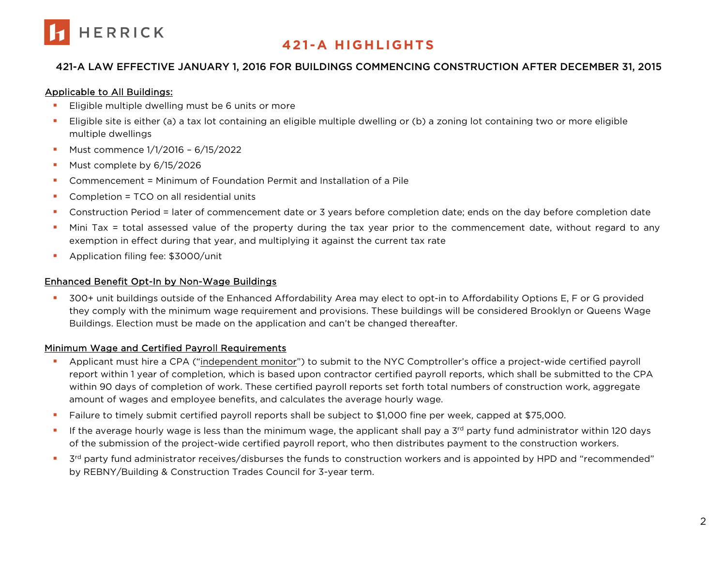

### 421-A LAW EFFECTIVE JANUARY 1, 2016 FOR BUILDINGS COMMENCING CONSTRUCTION AFTER DECEMBER 31, 2015

#### Applicable to All Buildings:

- **Eligible multiple dwelling must be 6 units or more**
- Eligible site is either (a) a tax lot containing an eligible multiple dwelling or (b) a zoning lot containing two or more eligible multiple dwellings
- **Must commence 1/1/2016 6/15/2022**
- Must complete by 6/15/2026
- Commencement = Minimum of Foundation Permit and Installation of a Pile
- **Completion = TCO on all residential units**
- Construction Period = later of commencement date or 3 years before completion date; ends on the day before completion date
- Mini Tax = total assessed value of the property during the tax year prior to the commencement date, without regard to any exemption in effect during that year, and multiplying it against the current tax rate
- **Application filing fee: \$3000/unit**

### Enhanced Benefit Opt-In by Non-Wage Buildings

 300+ unit buildings outside of the Enhanced Affordability Area may elect to opt-in to Affordability Options E, F or G provided they comply with the minimum wage requirement and provisions. These buildings will be considered Brooklyn or Queens Wage Buildings. Election must be made on the application and can't be changed thereafter.

### Minimum Wage and Certified Payroll Requirements

- Applicant must hire a CPA ("independent monitor") to submit to the NYC Comptroller's office a project-wide certified payroll report within 1 year of completion, which is based upon contractor certified payroll reports, which shall be submitted to the CPA within 90 days of completion of work. These certified payroll reports set forth total numbers of construction work, aggregate amount of wages and employee benefits, and calculates the average hourly wage.
- Failure to timely submit certified payroll reports shall be subject to \$1,000 fine per week, capped at \$75,000.
- If the average hourly wage is less than the minimum wage, the applicant shall pay a  $3<sup>rd</sup>$  party fund administrator within 120 days of the submission of the project-wide certified payroll report, who then distributes payment to the construction workers.
- <sup>3rd</sup> party fund administrator receives/disburses the funds to construction workers and is appointed by HPD and "recommended" by REBNY/Building & Construction Trades Council for 3-year term.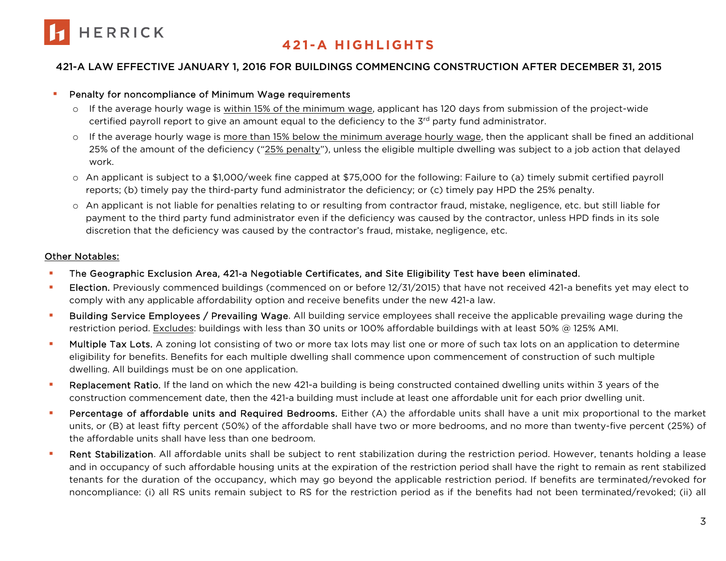

### 421-A LAW EFFECTIVE JANUARY 1, 2016 FOR BUILDINGS COMMENCING CONSTRUCTION AFTER DECEMBER 31, 2015

#### **Penalty for noncompliance of Minimum Wage requirements**

- o If the average hourly wage is within 15% of the minimum wage, applicant has 120 days from submission of the project-wide certified payroll report to give an amount equal to the deficiency to the  $3<sup>rd</sup>$  party fund administrator.
- o If the average hourly wage is more than 15% below the minimum average hourly wage, then the applicant shall be fined an additional 25% of the amount of the deficiency ("25% penalty"), unless the eligible multiple dwelling was subject to a job action that delayed work.
- o An applicant is subject to a \$1,000/week fine capped at \$75,000 for the following: Failure to (a) timely submit certified payroll reports; (b) timely pay the third-party fund administrator the deficiency; or (c) timely pay HPD the 25% penalty.
- o An applicant is not liable for penalties relating to or resulting from contractor fraud, mistake, negligence, etc. but still liable for payment to the third party fund administrator even if the deficiency was caused by the contractor, unless HPD finds in its sole discretion that the deficiency was caused by the contractor's fraud, mistake, negligence, etc.

#### Other Notables:

- **The Geographic Exclusion Area, 421-a Negotiable Certificates, and Site Eligibility Test have been eliminated.**
- **Election.** Previously commenced buildings (commenced on or before 12/31/2015) that have not received 421-a benefits yet may elect to comply with any applicable affordability option and receive benefits under the new 421-a law.
- **Building Service Employees / Prevailing Wage**. All building service employees shall receive the applicable prevailing wage during the restriction period. Excludes: buildings with less than 30 units or 100% affordable buildings with at least 50% @ 125% AMI.
- **Multiple Tax Lots.** A zoning lot consisting of two or more tax lots may list one or more of such tax lots on an application to determine eligibility for benefits. Benefits for each multiple dwelling shall commence upon commencement of construction of such multiple dwelling. All buildings must be on one application.
- **Replacement Ratio.** If the land on which the new 421-a building is being constructed contained dwelling units within 3 years of the construction commencement date, then the 421-a building must include at least one affordable unit for each prior dwelling unit.
- **Percentage of affordable units and Required Bedrooms.** Either (A) the affordable units shall have a unit mix proportional to the market units, or (B) at least fifty percent (50%) of the affordable shall have two or more bedrooms, and no more than twenty-five percent (25%) of the affordable units shall have less than one bedroom.
- Rent Stabilization. All affordable units shall be subject to rent stabilization during the restriction period. However, tenants holding a lease and in occupancy of such affordable housing units at the expiration of the restriction period shall have the right to remain as rent stabilized tenants for the duration of the occupancy, which may go beyond the applicable restriction period. If benefits are terminated/revoked for noncompliance: (i) all RS units remain subject to RS for the restriction period as if the benefits had not been terminated/revoked; (ii) all